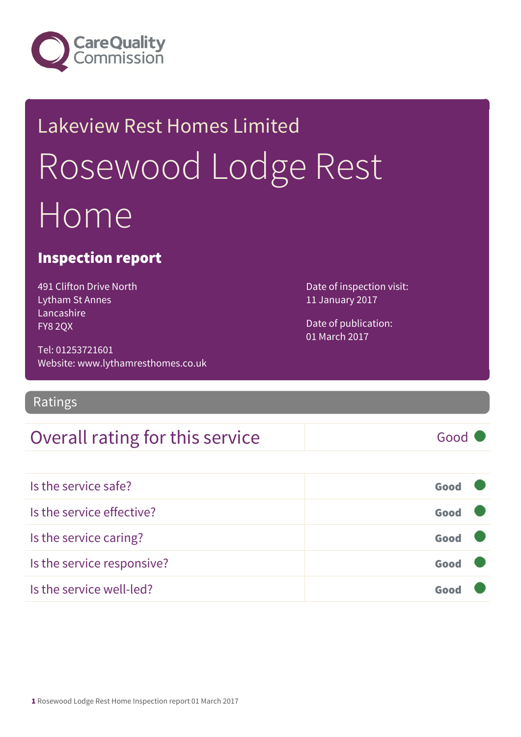

## Lakeview Rest Homes Limited Rosewood Lodge Rest Home

#### Inspection report

491 Clifton Drive North Lytham St Annes Lancashire FY8 2QX

Tel: 01253721601 Website: www.lythamresthomes.co.uk

#### Ratings

#### Overall rating for this service and a service Good

Is the service safe? Good Is the service effective? Contact the service effective? Is the service caring? Good Is the service responsive? Good Is the service well-led? Good

Date of inspection visit: 11 January 2017

Date of publication: 01 March 2017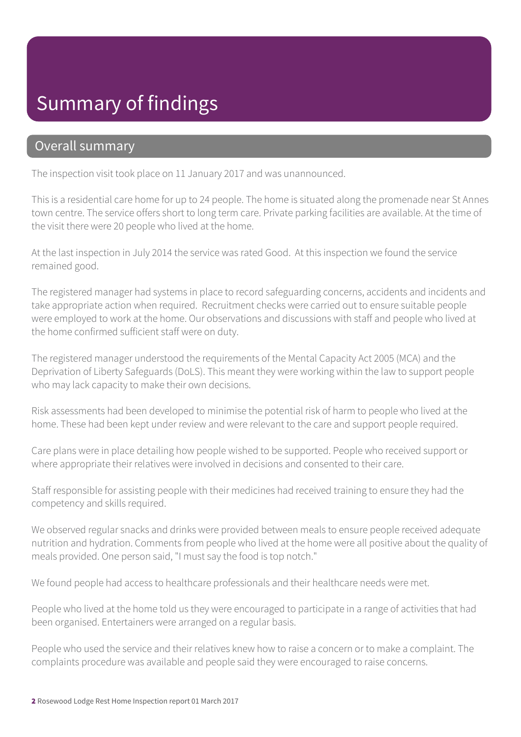#### Summary of findings

#### Overall summary

The inspection visit took place on 11 January 2017 and was unannounced.

This is a residential care home for up to 24 people. The home is situated along the promenade near St Annes town centre. The service offers short to long term care. Private parking facilities are available. At the time of the visit there were 20 people who lived at the home.

At the last inspection in July 2014 the service was rated Good. At this inspection we found the service remained good.

The registered manager had systems in place to record safeguarding concerns, accidents and incidents and take appropriate action when required. Recruitment checks were carried out to ensure suitable people were employed to work at the home. Our observations and discussions with staff and people who lived at the home confirmed sufficient staff were on duty.

The registered manager understood the requirements of the Mental Capacity Act 2005 (MCA) and the Deprivation of Liberty Safeguards (DoLS). This meant they were working within the law to support people who may lack capacity to make their own decisions.

Risk assessments had been developed to minimise the potential risk of harm to people who lived at the home. These had been kept under review and were relevant to the care and support people required.

Care plans were in place detailing how people wished to be supported. People who received support or where appropriate their relatives were involved in decisions and consented to their care.

Staff responsible for assisting people with their medicines had received training to ensure they had the competency and skills required.

We observed regular snacks and drinks were provided between meals to ensure people received adequate nutrition and hydration. Comments from people who lived at the home were all positive about the quality of meals provided. One person said, "I must say the food is top notch."

We found people had access to healthcare professionals and their healthcare needs were met.

People who lived at the home told us they were encouraged to participate in a range of activities that had been organised. Entertainers were arranged on a regular basis.

People who used the service and their relatives knew how to raise a concern or to make a complaint. The complaints procedure was available and people said they were encouraged to raise concerns.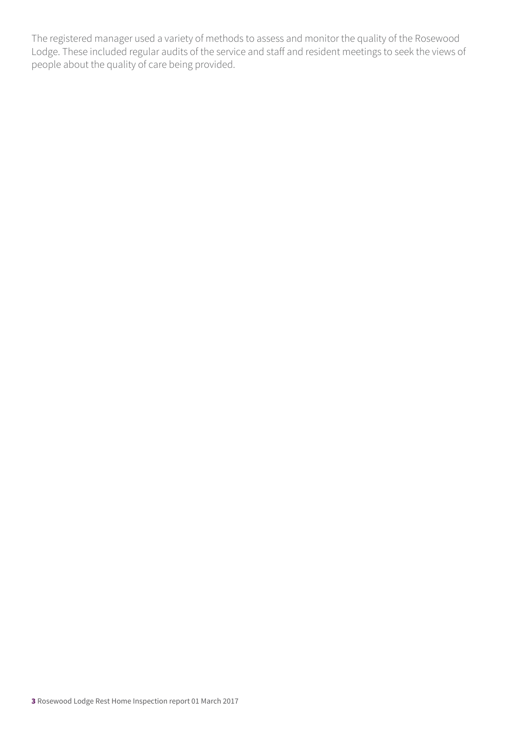The registered manager used a variety of methods to assess and monitor the quality of the Rosewood Lodge. These included regular audits of the service and staff and resident meetings to seek the views of people about the quality of care being provided.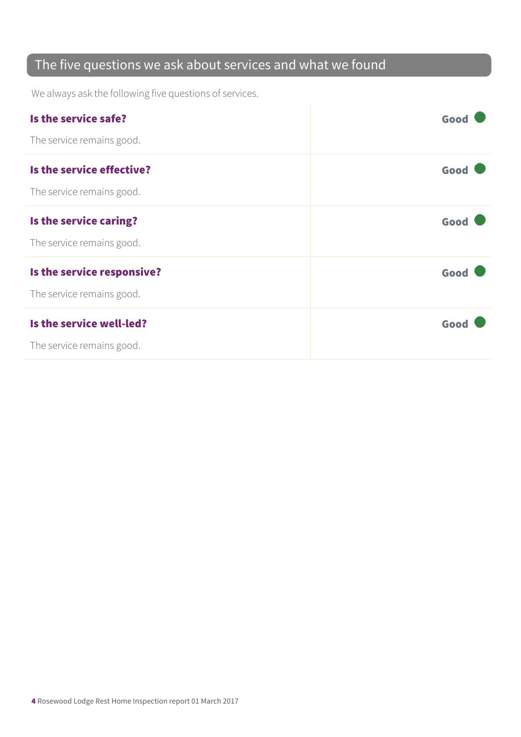#### The five questions we ask about services and what we found

We always ask the following five questions of services.

| Is the service safe?       | Good |
|----------------------------|------|
| The service remains good.  |      |
| Is the service effective?  | Good |
| The service remains good.  |      |
| Is the service caring?     | Good |
| The service remains good.  |      |
| Is the service responsive? | Good |
| The service remains good.  |      |
| Is the service well-led?   | Good |
| The service remains good.  |      |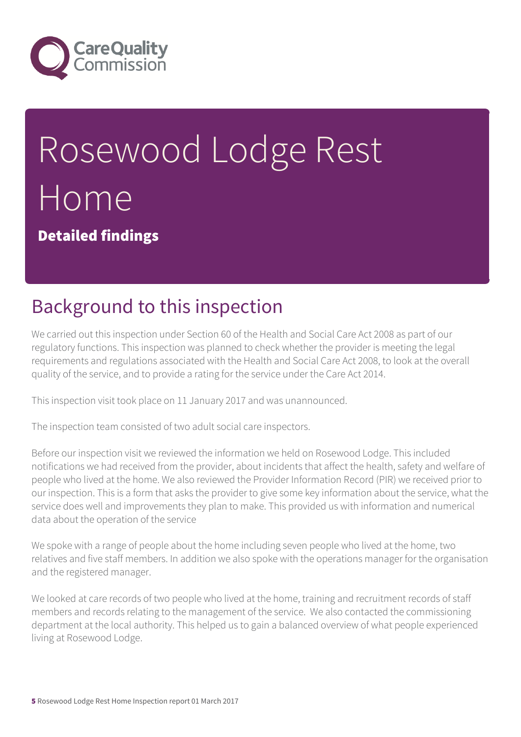

# Rosewood Lodge Rest Home

Detailed findings

## Background to this inspection

We carried out this inspection under Section 60 of the Health and Social Care Act 2008 as part of our regulatory functions. This inspection was planned to check whether the provider is meeting the legal requirements and regulations associated with the Health and Social Care Act 2008, to look at the overall quality of the service, and to provide a rating for the service under the Care Act 2014.

This inspection visit took place on 11 January 2017 and was unannounced.

The inspection team consisted of two adult social care inspectors.

Before our inspection visit we reviewed the information we held on Rosewood Lodge. This included notifications we had received from the provider, about incidents that affect the health, safety and welfare of people who lived at the home. We also reviewed the Provider Information Record (PIR) we received prior to our inspection. This is a form that asks the provider to give some key information about the service, what the service does well and improvements they plan to make. This provided us with information and numerical data about the operation of the service

We spoke with a range of people about the home including seven people who lived at the home, two relatives and five staff members. In addition we also spoke with the operations manager for the organisation and the registered manager.

We looked at care records of two people who lived at the home, training and recruitment records of staff members and records relating to the management of the service. We also contacted the commissioning department at the local authority. This helped us to gain a balanced overview of what people experienced living at Rosewood Lodge.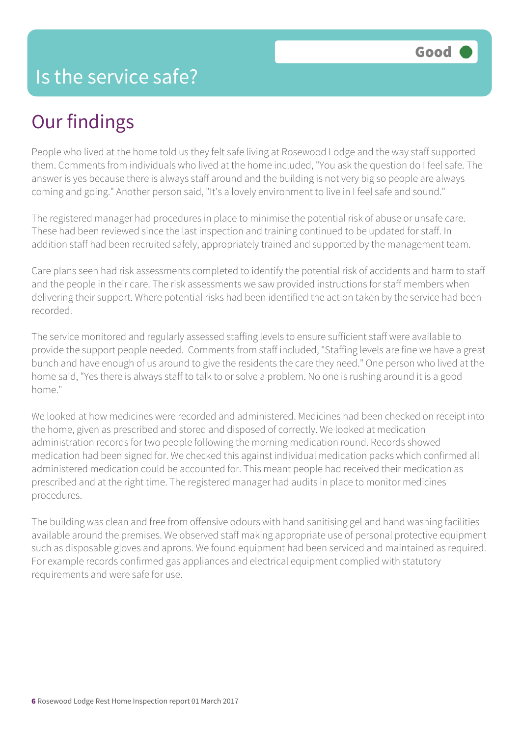## Our findings

People who lived at the home told us they felt safe living at Rosewood Lodge and the way staff supported them. Comments from individuals who lived at the home included, "You ask the question do I feel safe. The answer is yes because there is always staff around and the building is not very big so people are always coming and going." Another person said, "It's a lovely environment to live in I feel safe and sound."

The registered manager had procedures in place to minimise the potential risk of abuse or unsafe care. These had been reviewed since the last inspection and training continued to be updated for staff. In addition staff had been recruited safely, appropriately trained and supported by the management team.

Care plans seen had risk assessments completed to identify the potential risk of accidents and harm to staff and the people in their care. The risk assessments we saw provided instructions for staff members when delivering their support. Where potential risks had been identified the action taken by the service had been recorded.

The service monitored and regularly assessed staffing levels to ensure sufficient staff were available to provide the support people needed. Comments from staff included, "Staffing levels are fine we have a great bunch and have enough of us around to give the residents the care they need." One person who lived at the home said, "Yes there is always staff to talk to or solve a problem. No one is rushing around it is a good home."

We looked at how medicines were recorded and administered. Medicines had been checked on receipt into the home, given as prescribed and stored and disposed of correctly. We looked at medication administration records for two people following the morning medication round. Records showed medication had been signed for. We checked this against individual medication packs which confirmed all administered medication could be accounted for. This meant people had received their medication as prescribed and at the right time. The registered manager had audits in place to monitor medicines procedures.

The building was clean and free from offensive odours with hand sanitising gel and hand washing facilities available around the premises. We observed staff making appropriate use of personal protective equipment such as disposable gloves and aprons. We found equipment had been serviced and maintained as required. For example records confirmed gas appliances and electrical equipment complied with statutory requirements and were safe for use.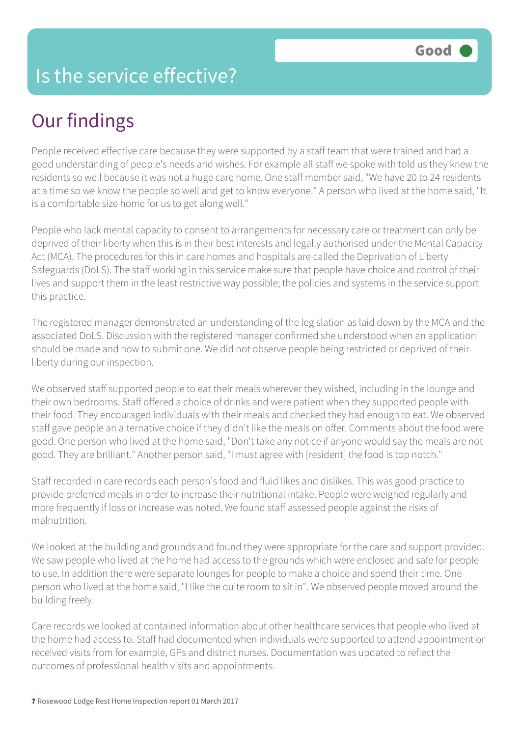#### Is the service effective?

### Our findings

People received effective care because they were supported by a staff team that were trained and had a good understanding of people's needs and wishes. For example all staff we spoke with told us they knew the residents so well because it was not a huge care home. One staff member said, "We have 20 to 24 residents at a time so we know the people so well and get to know everyone." A person who lived at the home said, "It is a comfortable size home for us to get along well."

People who lack mental capacity to consent to arrangements for necessary care or treatment can only be deprived of their liberty when this is in their best interests and legally authorised under the Mental Capacity Act (MCA). The procedures for this in care homes and hospitals are called the Deprivation of Liberty Safeguards (DoLS). The staff working in this service make sure that people have choice and control of their lives and support them in the least restrictive way possible; the policies and systems in the service support this practice.

The registered manager demonstrated an understanding of the legislation as laid down by the MCA and the associated DoLS. Discussion with the registered manager confirmed she understood when an application should be made and how to submit one. We did not observe people being restricted or deprived of their liberty during our inspection.

We observed staff supported people to eat their meals wherever they wished, including in the lounge and their own bedrooms. Staff offered a choice of drinks and were patient when they supported people with their food. They encouraged individuals with their meals and checked they had enough to eat. We observed staff gave people an alternative choice if they didn't like the meals on offer. Comments about the food were good. One person who lived at the home said, "Don't take any notice if anyone would say the meals are not good. They are brilliant." Another person said, "I must agree with [resident] the food is top notch."

Staff recorded in care records each person's food and fluid likes and dislikes. This was good practice to provide preferred meals in order to increase their nutritional intake. People were weighed regularly and more frequently if loss or increase was noted. We found staff assessed people against the risks of malnutrition.

We looked at the building and grounds and found they were appropriate for the care and support provided. We saw people who lived at the home had access to the grounds which were enclosed and safe for people to use. In addition there were separate lounges for people to make a choice and spend their time. One person who lived at the home said, "I like the quite room to sit in". We observed people moved around the building freely.

Care records we looked at contained information about other healthcare services that people who lived at the home had access to. Staff had documented when individuals were supported to attend appointment or received visits from for example, GPs and district nurses. Documentation was updated to reflect the outcomes of professional health visits and appointments.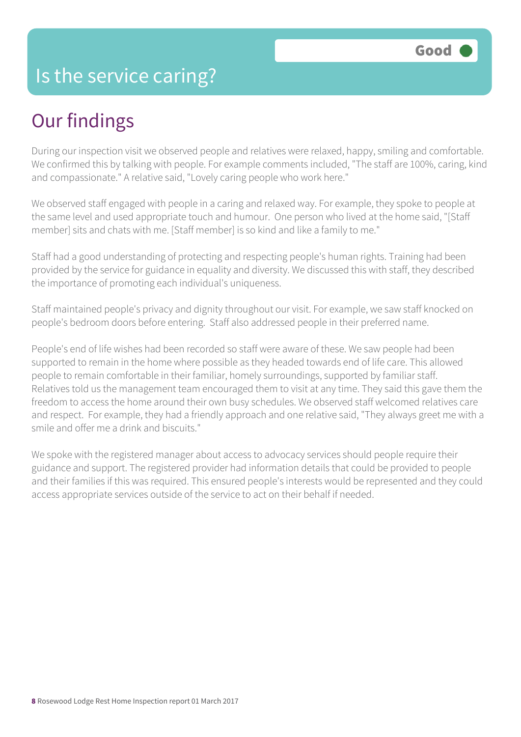#### Is the service caring?

### Our findings

During our inspection visit we observed people and relatives were relaxed, happy, smiling and comfortable. We confirmed this by talking with people. For example comments included, "The staff are 100%, caring, kind and compassionate." A relative said, "Lovely caring people who work here."

We observed staff engaged with people in a caring and relaxed way. For example, they spoke to people at the same level and used appropriate touch and humour. One person who lived at the home said, "[Staff member] sits and chats with me. [Staff member] is so kind and like a family to me."

Staff had a good understanding of protecting and respecting people's human rights. Training had been provided by the service for guidance in equality and diversity. We discussed this with staff, they described the importance of promoting each individual's uniqueness.

Staff maintained people's privacy and dignity throughout our visit. For example, we saw staff knocked on people's bedroom doors before entering. Staff also addressed people in their preferred name.

People's end of life wishes had been recorded so staff were aware of these. We saw people had been supported to remain in the home where possible as they headed towards end of life care. This allowed people to remain comfortable in their familiar, homely surroundings, supported by familiar staff. Relatives told us the management team encouraged them to visit at any time. They said this gave them the freedom to access the home around their own busy schedules. We observed staff welcomed relatives care and respect. For example, they had a friendly approach and one relative said, "They always greet me with a smile and offer me a drink and biscuits."

We spoke with the registered manager about access to advocacy services should people require their guidance and support. The registered provider had information details that could be provided to people and their families if this was required. This ensured people's interests would be represented and they could access appropriate services outside of the service to act on their behalf if needed.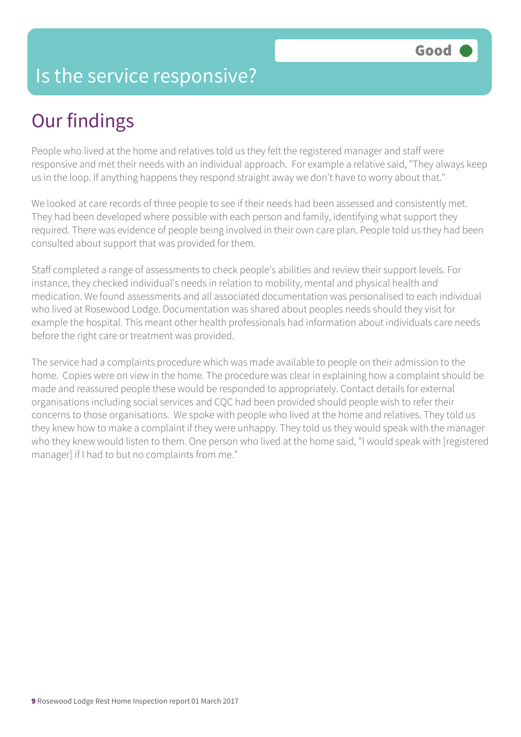#### Is the service responsive?

## Our findings

People who lived at the home and relatives told us they felt the registered manager and staff were responsive and met their needs with an individual approach. For example a relative said, "They always keep us in the loop. If anything happens they respond straight away we don't have to worry about that."

We looked at care records of three people to see if their needs had been assessed and consistently met. They had been developed where possible with each person and family, identifying what support they required. There was evidence of people being involved in their own care plan. People told us they had been consulted about support that was provided for them.

Staff completed a range of assessments to check people's abilities and review their support levels. For instance, they checked individual's needs in relation to mobility, mental and physical health and medication. We found assessments and all associated documentation was personalised to each individual who lived at Rosewood Lodge. Documentation was shared about peoples needs should they visit for example the hospital. This meant other health professionals had information about individuals care needs before the right care or treatment was provided.

The service had a complaints procedure which was made available to people on their admission to the home. Copies were on view in the home. The procedure was clear in explaining how a complaint should be made and reassured people these would be responded to appropriately. Contact details for external organisations including social services and CQC had been provided should people wish to refer their concerns to those organisations. We spoke with people who lived at the home and relatives. They told us they knew how to make a complaint if they were unhappy. They told us they would speak with the manager who they knew would listen to them. One person who lived at the home said, "I would speak with [registered manager] if I had to but no complaints from me."